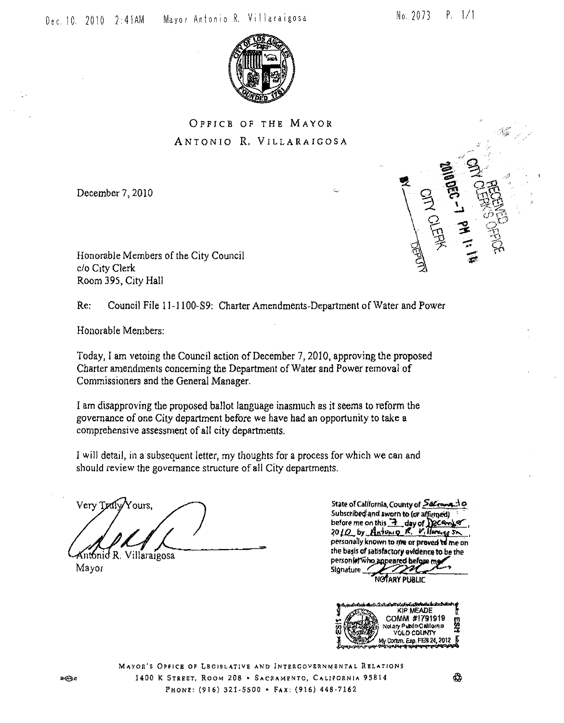$0ec. 10. 2010. 2:41AM$ 

Mayor Antonio R. Villaraigosa

No. 2073  $P. 1/1$ 

**THE LIBRARY** 



OFFICE OF THE MAYOR ANTONIO R. VILLARAIGOSA

December 7, 2010

Honorable Members of the City Council c/o City Clerk Room 395, City Hall

 $Re:$ Council File 11-1100-S9: Charter Amendments-Department of Water and Power

Honorable Members:

Today, I am vetoing the Council action of December 7, 2010, approving the proposed Charter amendments concerning the Department of Water and Power removal of Commissioners and the General Manager.

I am disapproving the proposed ballot language inasmuch as it seems to reform the governance of one City department before we have had an opportunity to take a comprehensive assessment of all city departments.

I will detail, in a subsequent letter, my thoughts for a process for which we can and should review the governance structure of all City departments.

Very Traly Yours, intonid R. Villaraigosa

Mayor

State of California, County of Sacromento Subscribed and sworn to (or affirmed) before me on this 2 day of December 2010 by Antonio R. Villarge Sn. personally known to me or proved to me on the basis of satisfactory evidence to be the person of who appeared before Signature

NOTARY PUBLIC



MAYOR'S OPFICE OF LEGISLATIVE AND INTERCOVERNMENTAL RELATIONS 1400 K STREET, ROOM 208 . SACRAMENTO, CALIFORNIA 93814 PHONE: (916) 321-5500 - FAX: (916) 448-7162